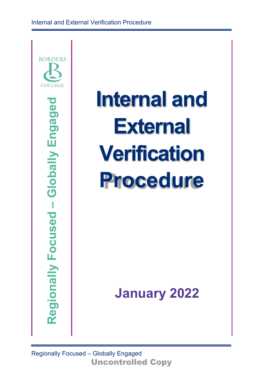

**Internal and External Verification Procedure**

**January 2022**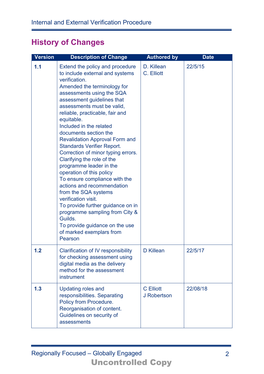# **History of Changes**

| <b>Version</b> | <b>Description of Change</b>                                                                                                                                                                                                                                                                                                                                                                                                                                                                                                                                                                                                                                                                                                                                                                       | <b>Authored by</b>              | <b>Date</b> |
|----------------|----------------------------------------------------------------------------------------------------------------------------------------------------------------------------------------------------------------------------------------------------------------------------------------------------------------------------------------------------------------------------------------------------------------------------------------------------------------------------------------------------------------------------------------------------------------------------------------------------------------------------------------------------------------------------------------------------------------------------------------------------------------------------------------------------|---------------------------------|-------------|
| 1.1            | Extend the policy and procedure<br>to include external and systems<br>verification.<br>Amended the terminology for<br>assessments using the SQA<br>assessment guidelines that<br>assessments must be valid,<br>reliable, practicable, fair and<br>equitable.<br>Included in the related<br>documents section the<br><b>Revalidation Approval Form and</b><br><b>Standards Verifier Report.</b><br>Correction of minor typing errors.<br>Clarifying the role of the<br>programme leader in the<br>operation of this policy<br>To ensure compliance with the<br>actions and recommendation<br>from the SQA systems<br>verification visit.<br>To provide further guidance on in<br>programme sampling from City &<br>Guilds.<br>To provide guidance on the use<br>of marked exemplars from<br>Pearson | D. Killean<br>C. Elliott        | 22/5/15     |
| 1.2            | Clarification of IV responsibility<br>for checking assessment using<br>digital media as the delivery<br>method for the assessment<br>instrument                                                                                                                                                                                                                                                                                                                                                                                                                                                                                                                                                                                                                                                    | D Killean                       | 22/5/17     |
| 1.3            | <b>Updating roles and</b><br>responsibilities. Separating<br>Policy from Procedure.<br>Reorganisation of content.<br>Guidelines on security of<br>assessments                                                                                                                                                                                                                                                                                                                                                                                                                                                                                                                                                                                                                                      | <b>C</b> Elliott<br>J Robertson | 22/08/18    |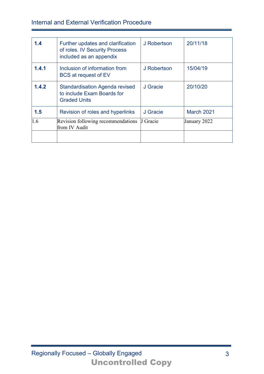### Internal and External Verification Procedure

| 1.4   | Further updates and clarification<br>of roles. IV Security Process<br>included as an appendix | J Robertson | 20/11/18          |  |
|-------|-----------------------------------------------------------------------------------------------|-------------|-------------------|--|
| 1.4.1 | Inclusion of information from<br><b>BCS</b> at request of EV                                  | J Robertson | 15/04/19          |  |
| 1.4.2 | <b>Standardisation Agenda revised</b><br>to include Exam Boards for<br><b>Graded Units</b>    | J Gracie    | 20/10/20          |  |
| 1.5   | Revision of roles and hyperlinks                                                              | J Gracie    | <b>March 2021</b> |  |
| 1.6   | Revision following recommendations<br>from IV Audit                                           | J Gracie    | January 2022      |  |
|       |                                                                                               |             |                   |  |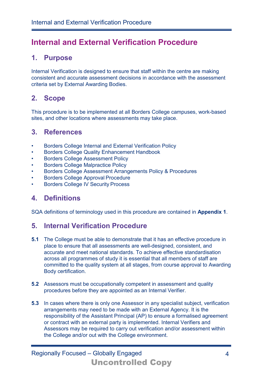## **Internal and External Verification Procedure**

### **1. Purpose**

Internal Verification is designed to ensure that staff within the centre are making consistent and accurate assessment decisions in accordance with the assessment criteria set by External Awarding Bodies.

### **2. Scope**

This procedure is to be implemented at all Borders College campuses, work-based sites, and other locations where assessments may take place.

### **3. References**

- Borders College Internal and External Verification Policy
- Borders College Quality Enhancement Handbook
- Borders College Assessment Policy
- Borders College Malpractice Policy
- Borders College Assessment Arrangements Policy & Procedures
- Borders College Approval Procedure
- Borders College IV Security Process

## **4. Definitions**

SQA definitions of terminology used in this procedure are contained in **Appendix 1**.

### **5. Internal Verification Procedure**

- **5.1** The College must be able to demonstrate that it has an effective procedure in place to ensure that all assessments are well-designed, consistent, and accurate and meet national standards. To achieve effective standardisation across all programmes of study it is essential that all members of staff are committed to the quality system at all stages, from course approval to Awarding Body certification.
- **5.2** Assessors must be occupationally competent in assessment and quality procedures before they are appointed as an Internal Verifier.
- **5.3** In cases where there is only one Assessor in any specialist subject, verification arrangements may need to be made with an External Agency. It is the responsibility of the Assistant Principal (AP) to ensure a formalised agreement or contract with an external party is implemented. Internal Verifiers and Assessors may be required to carry out verification and/or assessment within the College and/or out with the College environment.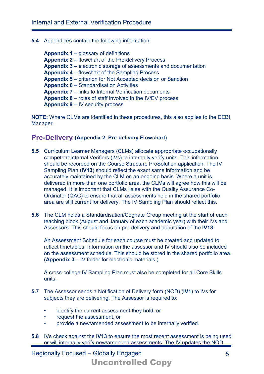#### **5.4** Appendices contain the following information:

**Appendix 1** – glossary of definitions **Appendix 2** – flowchart of the Pre-delivery Process **Appendix 3** – electronic storage of assessments and documentation **Appendix 4** – flowchart of the Sampling Process **Appendix 5** – criterion for Not Accepted decision or Sanction **Appendix 6** – Standardisation Activities **Appendix 7** – links to Internal Verification documents **Appendix 8** – roles of staff involved in the IV/EV process **Appendix 9** – IV security process

**NOTE:** Where CLMs are identified in these procedures, this also applies to the DEBI Manager.

#### **Pre-Delivery (Appendix 2, Pre-delivery Flowchart)**

- **5.5** Curriculum Learner Managers (CLMs) allocate appropriate occupationally competent Internal Verifiers (IVs) to internally verify units. This information should be recorded on the Course Structure ProSolution application. The IV Sampling Plan (**IV13**) should reflect the exact same information and be accurately maintained by the CLM on an ongoing basis. Where a unit is delivered in more than one portfolio area, the CLMs will agree how this will be managed. It is important that CLMs liaise with the Quality Assurance Co-Ordinator (QAC) to ensure that all assessments held in the shared portfolio area are still current for delivery. The IV Sampling Plan should reflect this.
- **5.6** The CLM holds a Standardisation/Cognate Group meeting at the start of each teaching block (August and January of each academic year) with their IVs and Assessors. This should focus on pre-delivery and population of the **IV13**.

An Assessment Schedule for each course must be created and updated to reflect timetables. Information on the assessor and IV should also be included on the assessment schedule. This should be stored in the shared portfolio area. (**Appendix 3** – IV folder for electronic materials.)

A cross-college IV Sampling Plan must also be completed for all Core Skills units.

- **5.7** The Assessor sends a Notification of Delivery form (NOD) (**IV1**) to IVs for subjects they are delivering. The Assessor is required to:
	- identify the current assessment they hold, or
	- request the assessment, or
	- provide a new/amended assessment to be internally verified.
- **5.8** IVs check against the **IV13** to ensure the most recent assessment is being used or will internally verify new/amended assessments. The IV updates the NOD

Regionally Focused – Globally Engaged Uncontrolled Copy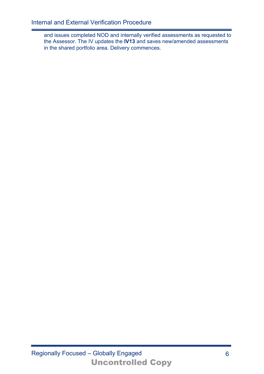and issues completed NOD and internally verified assessments as requested to the Assessor. The IV updates the **IV13** and saves new/amended assessments in the shared portfolio area. Delivery commences.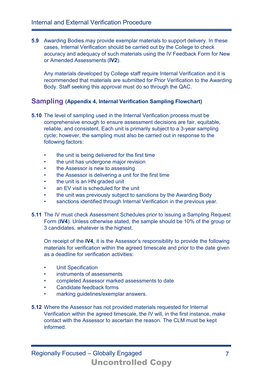**5.9** Awarding Bodies may provide exemplar materials to support delivery. In these cases, Internal Verification should be carried out by the College to check accuracy and adequacy of such materials using the IV Feedback Form for New or Amended Assessments (**IV2**).

Any materials developed by College staff require Internal Verification and it is recommended that materials are submitted for Prior Verification to the Awarding Body. Staff seeking this approval must do so through the QAC.

#### **Sampling (Appendix 4, Internal Verification Sampling Flowchart)**

- **5.10** The level of sampling used in the Internal Verification process must be comprehensive enough to ensure assessment decisions are fair, equitable, reliable, and consistent. Each unit is primarily subject to a 3-year sampling cycle; however, the sampling must also be carried out in response to the following factors:
	- the unit is being delivered for the first time
	- the unit has undergone major revision
	- the Assessor is new to assessing
	- the Assessor is delivering a unit for the first time
	- the unit is an HN graded unit
	- an EV visit is scheduled for the unit
	- the unit was previously subject to sanctions by the Awarding Body
	- sanctions identified through Internal Verification in the previous year.
- **5.11** The IV must check Assessment Schedules prior to issuing a Sampling Request Form (**IV4**). Unless otherwise stated, the sample should be 10% of the group or 3 candidates, whatever is the highest.

On receipt of the **IV4**, it is the Assessor's responsibility to provide the following materials for verification within the agreed timescale and prior to the date given as a deadline for verification activities:

- **Unit Specification**
- instruments of assessments
- completed Assessor marked assessments to date
- Candidate feedback forms
- marking guidelines/exemplar answers.
- **5.12** Where the Assessor has not provided materials requested for Internal Verification within the agreed timescale, the IV will, in the first instance, make contact with the Assessor to ascertain the reason. The CLM must be kept informed.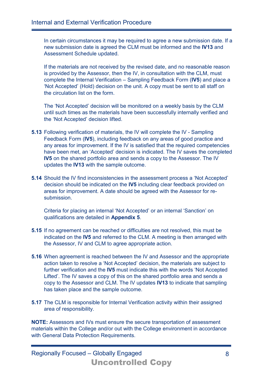In certain circumstances it may be required to agree a new submission date. If a new submission date is agreed the CLM must be informed and the **IV13** and Assessment Schedule updated.

If the materials are not received by the revised date, and no reasonable reason is provided by the Assessor, then the IV, in consultation with the CLM, must complete the Internal Verification – Sampling Feedback Form (**IV5**) and place a 'Not Accepted' (Hold) decision on the unit. A copy must be sent to all staff on the circulation list on the form.

The 'Not Accepted' decision will be monitored on a weekly basis by the CLM until such times as the materials have been successfully internally verified and the 'Not Accepted' decision lifted.

- **5.13** Following verification of materials, the IV will complete the IV Sampling Feedback Form (**IV5**), including feedback on any areas of good practice and any areas for improvement. If the IV is satisfied that the required competencies have been met, an 'Accepted' decision is indicated. The IV saves the completed **IV5** on the shared portfolio area and sends a copy to the Assessor. The IV updates the **IV13** with the sample outcome.
- **5.14** Should the IV find inconsistencies in the assessment process a 'Not Accepted' decision should be indicated on the **IV5** including clear feedback provided on areas for improvement. A date should be agreed with the Assessor for resubmission.

Criteria for placing an internal 'Not Accepted' or an internal 'Sanction' on qualifications are detailed in **Appendix 5**.

- **5.15** If no agreement can be reached or difficulties are not resolved, this must be indicated on the **IV5** and referred to the CLM. A meeting is then arranged with the Assessor, IV and CLM to agree appropriate action.
- **5.16** When agreement is reached between the IV and Assessor and the appropriate action taken to resolve a 'Not Accepted' decision, the materials are subject to further verification and the **IV5** must indicate this with the words 'Not Accepted Lifted'. The IV saves a copy of this on the shared portfolio area and sends a copy to the Assessor and CLM. The IV updates **IV13** to indicate that sampling has taken place and the sample outcome.
- **5.17** The CLM is responsible for Internal Verification activity within their assigned area of responsibility.

**NOTE:** Assessors and IVs must ensure the secure transportation of assessment materials within the College and/or out with the College environment in accordance with General Data Protection Requirements.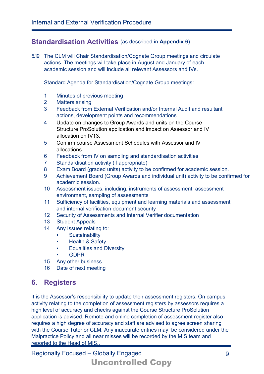### **Standardisation Activities** (as described in **Appendix 6**)

5.19 The CLM will Chair Standardisation/Cognate Group meetings and circulate actions. The meetings will take place in August and January of each academic session and will include all relevant Assessors and IVs.

Standard Agenda for Standardisation/Cognate Group meetings:

- 1 Minutes of previous meeting
- 2 Matters arising
- 3 Feedback from External Verification and/or Internal Audit and resultant actions, development points and recommendations
- 4 Update on changes to Group Awards and units on the Course Structure ProSolution application and impact on Assessor and IV allocation on IV13.
- 5 Confirm course Assessment Schedules with Assessor and IV allocations.
- 6 Feedback from IV on sampling and standardisation activities
- 7 Standardisation activity (if appropriate)
- 8 Exam Board (graded units) activity to be confirmed for academic session.
- 9 Achievement Board (Group Awards and individual unit) activity to be confirmed for academic session.
- 10 Assessment issues, including, instruments of assessment, assessment environment, sampling of assessments
- 11 Sufficiency of facilities, equipment and learning materials and assessment and internal verification document security
- 12 Security of Assessments and Internal Verifier documentation
- 13 Student Appeals
- 14 Any Issues relating to:
	- **Sustainability**
	- Health & Safety
	- Equalities and Diversity
	- GDPR
- 15 Any other business
- 16 Date of next meeting

### **6. Registers**

It is the Assessor's responsibility to update their assessment registers. On campus activity relating to the completion of assessment registers by assessors requires a high level of accuracy and checks against the Course Structure ProSolution application is advised. Remote and online completion of assessment register also requires a high degree of accuracy and staff are advised to agree screen sharing with the Course Tutor or CLM. Any inaccurate entries may be considered under the Malpractice Policy and all near misses will be recorded by the MIS team and reported to the Head of MIS..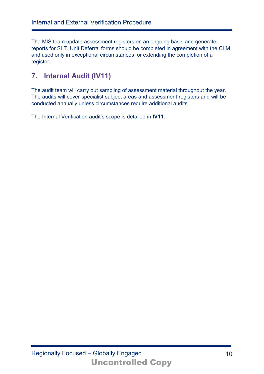The MIS team update assessment registers on an ongoing basis and generate reports for SLT. Unit Deferral forms should be completed in agreement with the CLM and used only in exceptional circumstances for extending the completion of a register.

## **7. Internal Audit (IV11)**

The audit team will carry out sampling of assessment material throughout the year. The audits will cover specialist subject areas and assessment registers and will be conducted annually unless circumstances require additional audits.

The Internal Verification audit's scope is detailed in **IV11**.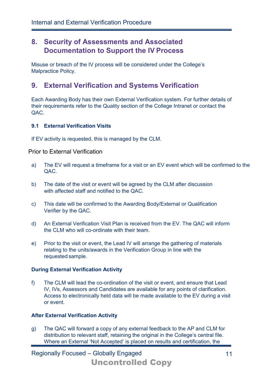### **8. Security of Assessments and Associated Documentation to Support the IV Process**

Misuse or breach of the IV process will be considered under the College's Malpractice Policy.

### **9. External Verification and Systems Verification**

Each Awarding Body has their own External Verification system. For further details of their requirements refer to the Quality section of the College Intranet or contact the QAC.

#### **9.1 External Verification Visits**

If EV activity is requested, this is managed by the CLM.

#### Prior to External Verification

- a) The EV will request a timeframe for a visit or an EV event which will be confirmed to the QAC.
- b) The date of the visit or event will be agreed by the CLM after discussion with affected staff and notified to the QAC.
- c) This date will be confirmed to the Awarding Body/External or Qualification Verifier by the QAC.
- d) An External Verification Visit Plan is received from the EV. The QAC will inform the CLM who will co-ordinate with their team.
- e) Prior to the visit or event, the Lead IV will arrange the gathering of materials relating to the units/awards in the Verification Group in line with the requested sample.

#### **During External Verification Activity**

f) The CLM will lead the co-ordination of the visit or event, and ensure that Lead IV, IVs, Assessors and Candidates are available for any points of clarification. Access to electronically held data will be made available to the EV during a visit or event.

#### **After External Verification Activity**

g) The QAC will forward a copy of any external feedback to the AP and CLM for distribution to relevant staff, retaining the original in the College's central file. Where an External 'Not Accepted' is placed on results and certification, the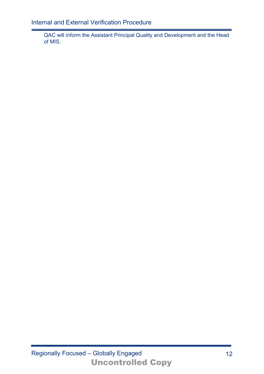QAC will inform the Assistant Principal Quality and Development and the Head of MIS.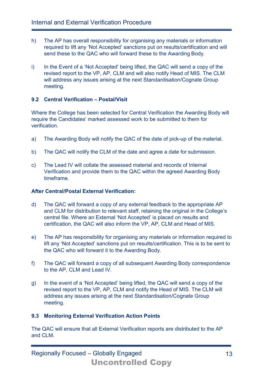- h) The AP has overall responsibility for organising any materials or information required to lift any 'Not Accepted' sanctions put on results/certification and will send these to the QAC who will forward these to the Awarding Body.
- i) In the Event of a 'Not Accepted' being lifted, the QAC will send a copy of the revised report to the VP, AP, CLM and will also notify Head of MIS. The CLM will address any issues arising at the next Standardisation/Cognate Group meeting.

#### **9.2 Central Verification – Postal/Visit**

Where the College has been selected for Central Verification the Awarding Body will require the Candidates' marked assessed work to be submitted to them for verification.

- a) The Awarding Body will notify the QAC of the date of pick-up of the material.
- b) The QAC will notify the CLM of the date and agree a date for submission.
- c) The Lead IV will collate the assessed material and records of Internal Verification and provide them to the QAC within the agreed Awarding Body timeframe.

#### **After Central/Postal External Verification:**

- d) The QAC will forward a copy of any external feedback to the appropriate AP and CLM for distribution to relevant staff, retaining the original in the College's central file. Where an External 'Not Accepted' is placed on results and certification, the QAC will also inform the VP, AP, CLM and Head of MIS.
- e) The AP has responsibility for organising any materials or information required to lift any 'Not Accepted' sanctions put on results/certification. This is to be sent to the QAC who will forward it to the Awarding Body.
- f) The QAC will forward a copy of all subsequent Awarding Body correspondence to the AP, CLM and Lead IV.
- g) In the event of a 'Not Accepted' being lifted, the QAC will send a copy of the revised report to the VP, AP, CLM and notify the Head of MIS. The CLM will address any issues arising at the next Standardisation/Cognate Group meeting.

#### **9.3 Monitoring External Verification Action Points**

The QAC will ensure that all External Verification reports are distributed to the AP and CLM.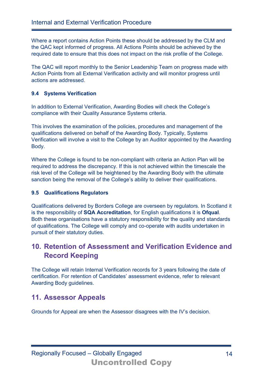Where a report contains Action Points these should be addressed by the CLM and the QAC kept informed of progress. All Actions Points should be achieved by the required date to ensure that this does not impact on the risk profile of the College.

The QAC will report monthly to the Senior Leadership Team on progress made with Action Points from all External Verification activity and will monitor progress until actions are addressed.

#### **9.4 Systems Verification**

In addition to External Verification, Awarding Bodies will check the College's compliance with their Quality Assurance Systems criteria.

This involves the examination of the policies, procedures and management of the qualifications delivered on behalf of the Awarding Body. Typically, Systems Verification will involve a visit to the College by an Auditor appointed by the Awarding Body.

Where the College is found to be non-compliant with criteria an Action Plan will be required to address the discrepancy. If this is not achieved within the timescale the risk level of the College will be heightened by the Awarding Body with the ultimate sanction being the removal of the College's ability to deliver their qualifications.

#### **9.5 Qualifications Regulators**

Qualifications delivered by Borders College are overseen by regulators. In Scotland it is the responsibility of **SQA Accreditation**, for English qualifications it is **Ofqual**. Both these organisations have a statutory responsibility for the quality and standards of qualifications. The College will comply and co-operate with audits undertaken in pursuit of their statutory duties.

### **10. Retention of Assessment and Verification Evidence and Record Keeping**

The College will retain Internal Verification records for 3 years following the date of certification. For retention of Candidates' assessment evidence, refer to relevant Awarding Body guidelines.

### **11. Assessor Appeals**

Grounds for Appeal are when the Assessor disagrees with the IV's decision.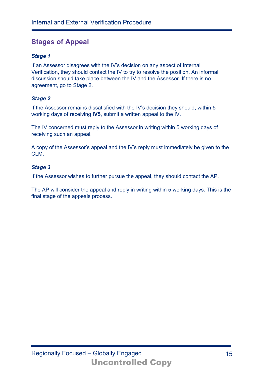## **Stages of Appeal**

#### *Stage 1*

If an Assessor disagrees with the IV's decision on any aspect of Internal Verification, they should contact the IV to try to resolve the position. An informal discussion should take place between the IV and the Assessor. If there is no agreement, go to Stage 2.

#### *Stage 2*

If the Assessor remains dissatisfied with the IV's decision they should, within 5 working days of receiving **IV5**, submit a written appeal to the IV.

The IV concerned must reply to the Assessor in writing within 5 working days of receiving such an appeal.

A copy of the Assessor's appeal and the IV's reply must immediately be given to the CLM.

#### *Stage 3*

If the Assessor wishes to further pursue the appeal, they should contact the AP.

The AP will consider the appeal and reply in writing within 5 working days. This is the final stage of the appeals process.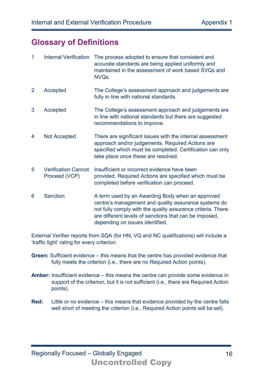## **Glossary of Definitions**

| 1 | <b>Internal Verification</b>                | The process adopted to ensure that consistent and<br>accurate standards are being applied uniformly and<br>maintained in the assessment of work based SVQs and<br>NVQs.                                                                                              |
|---|---------------------------------------------|----------------------------------------------------------------------------------------------------------------------------------------------------------------------------------------------------------------------------------------------------------------------|
| 2 | Accepted                                    | The College's assessment approach and judgements are<br>fully in line with national standards.                                                                                                                                                                       |
| 3 | Accepted                                    | The College's assessment approach and judgements are<br>in line with national standards but there are suggested<br>recommendations to improve.                                                                                                                       |
| 4 | <b>Not Accepted</b>                         | There are significant issues with the internal assessment<br>approach and/or judgements. Required Actions are<br>specified which must be completed. Certification can only<br>take place once these are resolved.                                                    |
| 5 | <b>Verification Cannot</b><br>Proceed (VCP) | Insufficient or incorrect evidence have been<br>provided. Required Actions are specified which must be<br>completed before verification can proceed.                                                                                                                 |
| 6 | <b>Sanction</b>                             | A term used by an Awarding Body when an approved<br>centre's management and quality assurance systems do<br>not fully comply with the quality assurance criteria. There<br>are different levels of sanctions that can be imposed,<br>depending on issues identified. |

External Verifier reports from SQA (for HN, VQ and NC qualifications) will include a 'traffic light' rating for every criterion:

- **Green:** Sufficient evidence this means that the centre has provided evidence that fully meets the criterion (i.e., there are no Required Action points).
- **Amber:** Insufficient evidence this means the centre can provide some evidence in support of the criterion, but it is not sufficient (i.e., there are Required Action points).
- **Red:** Little or no evidence this means that evidence provided by the centre falls well short of meeting the criterion (i.e., Required Action points will be set).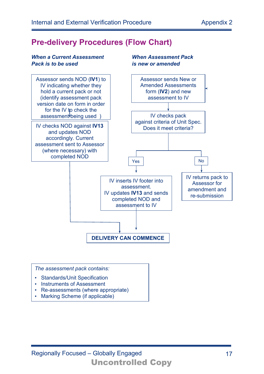## **Pre-delivery Procedures (Flow Chart)**

#### *When a Current Assessment When Assessment Pack Pack is to be used is new or amended*





- Instruments of Assessment
- Re-assessments (where appropriate)
- Marking Scheme (if applicable)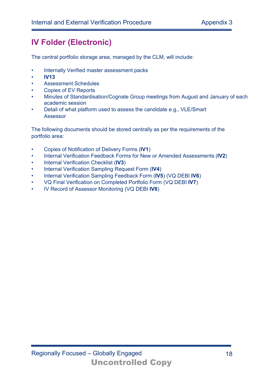# **IV Folder (Electronic)**

The central portfolio storage area, managed by the CLM, will include:

- Internally Verified master assessment packs
- **IV13**
- Assessment Schedules
- Copies of EV Reports
- Minutes of Standardisation/Cognate Group meetings from August and January of each academic session
- Detail of what platform used to assess the candidate e.g., VLE/Smart Assessor

The following documents should be stored centrally as per the requirements of the portfolio area:

- Copies of Notification of Delivery Forms (**IV1**)
- Internal Verification Feedback Forms for New or Amended Assessments (**IV2**)
- Internal Verification Checklist (**IV3**)
- Internal Verification Sampling Request Form (**IV4**)
- Internal Verification Sampling Feedback Form (**IV5**) (VQ DEBI **IV6**)
- VQ Final Verification on Completed Portfolio Form (VQ DEBI **IV7**)
- IV Record of Assessor Monitoring (VQ DEBI **IV8**)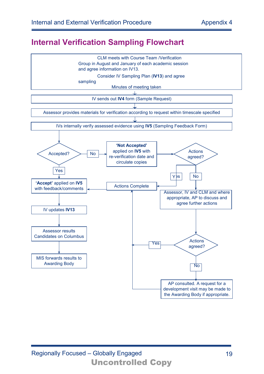## **Internal Verification Sampling Flowchart**

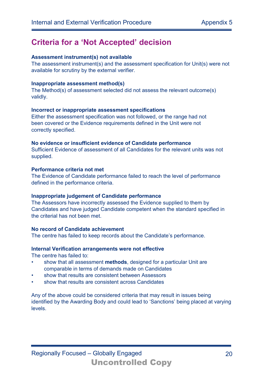## **Criteria for a 'Not Accepted' decision**

#### **Assessment instrument(s) not available**

The assessment instrument(s) and the assessment specification for Unit(s) were not available for scrutiny by the external verifier.

#### **Inappropriate assessment method(s)**

The Method(s) of assessment selected did not assess the relevant outcome(s) validly.

#### **Incorrect or inappropriate assessment specifications**

Either the assessment specification was not followed, or the range had not been covered or the Evidence requirements defined in the Unit were not correctly specified.

#### **No evidence or insufficient evidence of Candidate performance**

Sufficient Evidence of assessment of all Candidates for the relevant units was not supplied.

#### **Performance criteria not met**

The Evidence of Candidate performance failed to reach the level of performance defined in the performance criteria.

#### **Inappropriate judgement of Candidate performance**

The Assessors have incorrectly assessed the Evidence supplied to them by Candidates and have judged Candidate competent when the standard specified in the criterial has not been met.

#### **No record of Candidate achievement**

The centre has failed to keep records about the Candidate's performance.

#### **Internal Verification arrangements were not effective**

The centre has failed to:

- show that all assessment **methods**, designed for a particular Unit are comparable in terms of demands made on Candidates
- show that results are consistent between Assessors
- show that results are consistent across Candidates

Any of the above could be considered criteria that may result in issues being identified by the Awarding Body and could lead to 'Sanctions' being placed at varying levels.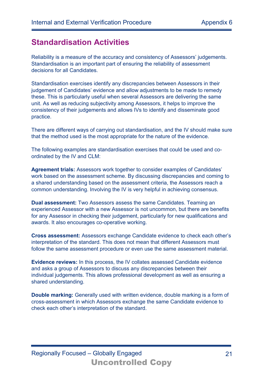## **Standardisation Activities**

Reliability is a measure of the accuracy and consistency of Assessors' judgements. Standardisation is an important part of ensuring the reliability of assessment decisions for all Candidates.

Standardisation exercises identify any discrepancies between Assessors in their judgement of Candidates' evidence and allow adjustments to be made to remedy these. This is particularly useful when several Assessors are delivering the same unit. As well as reducing subjectivity among Assessors, it helps to improve the consistency of their judgements and allows IVs to identify and disseminate good practice.

There are different ways of carrying out standardisation, and the IV should make sure that the method used is the most appropriate for the nature of the evidence.

The following examples are standardisation exercises that could be used and coordinated by the IV and CLM:

**Agreement trials:** Assessors work together to consider examples of Candidates' work based on the assessment scheme. By discussing discrepancies and coming to a shared understanding based on the assessment criteria, the Assessors reach a common understanding. Involving the IV is very helpful in achieving consensus.

**Dual assessment:** Two Assessors assess the same Candidates. Teaming an experienced Assessor with a new Assessor is not uncommon, but there are benefits for any Assessor in checking their judgement, particularly for new qualifications and awards. It also encourages co-operative working.

**Cross assessment:** Assessors exchange Candidate evidence to check each other's interpretation of the standard. This does not mean that different Assessors must follow the same assessment procedure or even use the same assessment material.

**Evidence reviews:** In this process, the IV collates assessed Candidate evidence and asks a group of Assessors to discuss any discrepancies between their individual judgements. This allows professional development as well as ensuring a shared understanding.

**Double marking:** Generally used with written evidence, double marking is a form of cross-assessment in which Assessors exchange the same Candidate evidence to check each other's interpretation of the standard.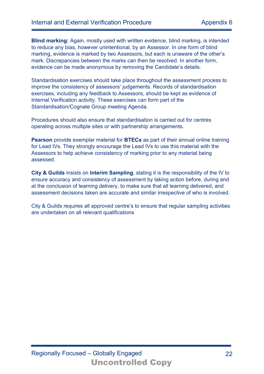**Blind marking:** Again, mostly used with written evidence, blind marking, is intended to reduce any bias, however unintentional, by an Assessor. In one form of blind marking, evidence is marked by two Assessors, but each is unaware of the other's mark. Discrepancies between the marks can then be resolved. In another form, evidence can be made anonymous by removing the Candidate's details.

Standardisation exercises should take place throughout the assessment process to improve the consistency of assessors' judgements. Records of standardisation exercises, including any feedback to Assessors, should be kept as evidence of Internal Verification activity. These exercises can form part of the Standardisation/Cognate Group meeting Agenda.

Procedures should also ensure that standardisation is carried out for centres operating across multiple sites or with partnership arrangements.

**Pearson** provide exemplar material for **BTECs** as part of their annual online training for Lead IVs. They strongly encourage the Lead IVs to use this material with the Assessors to help achieve consistency of marking prior to any material being assessed.

**City & Guilds** insists on **Interim Sampling**, stating it is the responsibility of the IV to ensure accuracy and consistency of assessment by taking action before, during and at the conclusion of learning delivery, to make sure that all learning delivered, and assessment decisions taken are accurate and similar irrespective of who is involved.

City & Guilds requires all approved centre's to ensure that regular sampling activities are undertaken on all relevant qualifications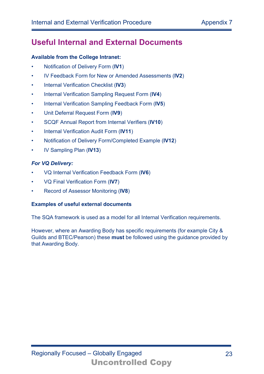## **Useful Internal and External Documents**

#### **Available from the College Intranet:**

- Notification of Delivery Form (**IV1**)
- IV Feedback Form for New or Amended Assessments (**IV2**)
- Internal Verification Checklist (**IV3**)
- Internal Verification Sampling Request Form (**IV4**)
- Internal Verification Sampling Feedback Form (**IV5**)
- Unit Deferral Request Form (**IV9**)
- SCQF Annual Report from Internal Verifiers (**IV10**)
- Internal Verification Audit Form (**IV11**)
- Notification of Delivery Form/Completed Example (**IV12**)
- IV Sampling Plan (**IV13**)

#### *For VQ Delivery:*

- VQ Internal Verification Feedback Form (**IV6**)
- VQ Final Verification Form (**IV7**)
- Record of Assessor Monitoring (**IV8**)

#### **Examples of useful external documents**

The SQA framework is used as a model for all Internal Verification requirements.

However, where an Awarding Body has specific requirements (for example City & Guilds and BTEC/Pearson) these **must** be followed using the guidance provided by that Awarding Body.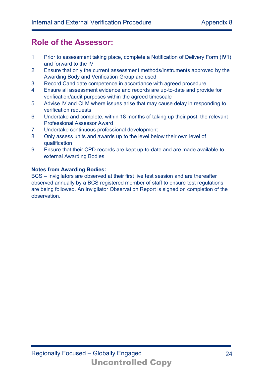## **Role of the Assessor:**

- 1 Prior to assessment taking place, complete a Notification of Delivery Form (**IV1**) and forward to the IV
- 2 Ensure that only the current assessment methods/instruments approved by the Awarding Body and Verification Group are used
- 3 Record Candidate competence in accordance with agreed procedure
- 4 Ensure all assessment evidence and records are up-to-date and provide for verification/audit purposes within the agreed timescale
- 5 Advise IV and CLM where issues arise that may cause delay in responding to verification requests
- 6 Undertake and complete, within 18 months of taking up their post, the relevant Professional Assessor Award
- 7 Undertake continuous professional development
- 8 Only assess units and awards up to the level below their own level of qualification
- 9 Ensure that their CPD records are kept up-to-date and are made available to external Awarding Bodies

#### **Notes from Awarding Bodies:**

BCS – Invigilators are observed at their first live test session and are thereafter observed annually by a BCS registered member of staff to ensure test regulations are being followed. An Invigilator Observation Report is signed on completion of the observation.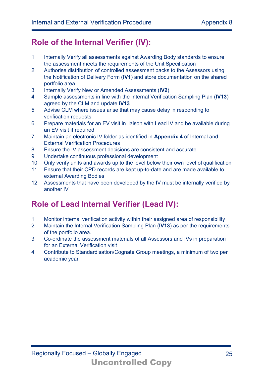## **Role of the Internal Verifier (IV):**

- 1 Internally Verify all assessments against Awarding Body standards to ensure the assessment meets the requirements of the Unit Specification
- 2 Authorise distribution of controlled assessment packs to the Assessors using the Notification of Delivery Form (**IV1**) and store documentation on the shared portfolio area
- 3 Internally Verify New or Amended Assessments (**IV2**)
- **4** Sample assessments in line with the Internal Verification Sampling Plan (**IV13**) agreed by the CLM and update **IV13**
- 5 Advise CLM where issues arise that may cause delay in responding to verification requests
- 6 Prepare materials for an EV visit in liaison with Lead IV and be available during an EV visit if required
- 7 Maintain an electronic IV folder as identified in **Appendix 4** of Internal and External Verification Procedures
- 8 Ensure the IV assessment decisions are consistent and accurate
- 9 Undertake continuous professional development
- 10 Only verify units and awards up to the level below their own level of qualification
- 11 Ensure that their CPD records are kept up-to-date and are made available to external Awarding Bodies
- 12 Assessments that have been developed by the IV must be internally verified by another IV

# **Role of Lead Internal Verifier (Lead IV):**

- 1 Monitor internal verification activity within their assigned area of responsibility
- 2 Maintain the Internal Verification Sampling Plan (**IV13**) as per the requirements of the portfolio area.
- 3 Co-ordinate the assessment materials of all Assessors and IVs in preparation for an External Verification visit
- 4 Contribute to Standardisation/Cognate Group meetings, a minimum of two per academic year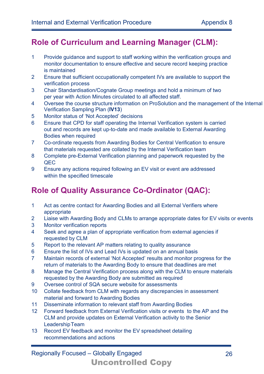## **Role of Curriculum and Learning Manager (CLM):**

- 1 Provide guidance and support to staff working within the verification groups and monitor documentation to ensure effective and secure record keeping practice is maintained
- 2 Ensure that sufficient occupationally competent IVs are available to support the verification process
- 3 Chair Standardisation/Cognate Group meetings and hold a minimum of two per year with Action Minutes circulated to all affected staff.
- 4 Oversee the course structure information on ProSolution and the management of the Internal Verification Sampling Plan (**IV13**)
- 5 Monitor status of 'Not Accepted' decisions
- 6 Ensure that CPD for staff operating the Internal Verification system is carried out and records are kept up-to-date and made available to External Awarding Bodies when required
- 7 Co-ordinate requests from Awarding Bodies for Central Verification to ensure that materials requested are collated by the Internal Verification team
- 8 Complete pre-External Verification planning and paperwork requested by the QEC
- 9 Ensure any actions required following an EV visit or event are addressed within the specified timescale

# **Role of Quality Assurance Co-Ordinator (QAC):**

- 1 Act as centre contact for Awarding Bodies and all External Verifiers where appropriate
- 2 Liaise with Awarding Body and CLMs to arrange appropriate dates for EV visits or events
- 3 Monitor verification reports
- 4 Seek and agree a plan of appropriate verification from external agencies if requested by CLM
- 5 Report to the relevant AP matters relating to quality assurance
- 6 Ensure the list of IVs and Lead IVs is updated on an annual basis
- 7 Maintain records of external 'Not Accepted' results and monitor progress for the return of materials to the Awarding Body to ensure that deadlines are met
- 8 Manage the Central Verification process along with the CLM to ensure materials requested by the Awarding Body are submitted as required
- 9 Oversee control of SQA secure website for assessments
- 10 Collate feedback from CLM with regards any discrepancies in assessment material and forward to Awarding Bodies
- 11 Disseminate information to relevant staff from Awarding Bodies
- 12 Forward feedback from External Verification visits or events to the AP and the CLM and provide updates on External Verification activity to the Senior LeadershipTeam
- 13 Record EV feedback and monitor the EV spreadsheet detailing recommendations and actions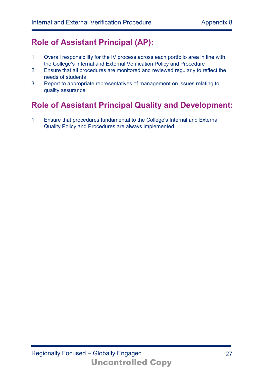## **Role of Assistant Principal (AP):**

- 1 Overall responsibility for the IV process across each portfolio area in line with the College's Internal and External Verification Policy and Procedure
- 2 Ensure that all procedures are monitored and reviewed regularly to reflect the needs of students
- 3 Report to appropriate representatives of management on issues relating to quality assurance

# **Role of Assistant Principal Quality and Development:**

1 Ensure that procedures fundamental to the College's Internal and External Quality Policy and Procedures are always implemented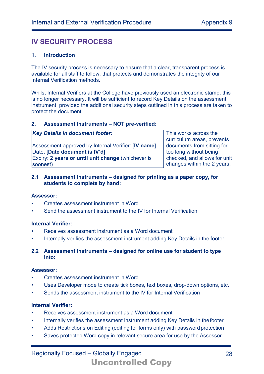## **IV SECURITY PROCESS**

*Key Details in document footer:*

#### **1. Introduction**

The IV security process is necessary to ensure that a clear, transparent process is available for all staff to follow, that protects and demonstrates the integrity of our Internal Verification methods.

Whilst Internal Verifiers at the College have previously used an electronic stamp, this is no longer necessary. It will be sufficient to record Key Details on the assessment instrument, provided the additional security steps outlined in this process are taken to protect the document.

#### **2. Assessment Instruments – NOT pre-verified:**

Assessment approved by Internal Verifier: [**IV name**] Date: [**Date document is IV'd**] Expiry: **2 years or until unit change** (whichever is soonest)

This works across the curriculum areas, prevents documents from sitting for too long without being checked, and allows for unit changes within the 2 years.

#### **2.1 Assessment Instruments – designed for printing as a paper copy, for students to complete by hand:**

#### **Assessor:**

- Creates assessment instrument in Word
- Send the assessment instrument to the IV for Internal Verification

#### **Internal Verifier:**

- Receives assessment instrument as a Word document
- Internally verifies the assessment instrument adding Key Details in the footer

#### **2.2 Assessment Instruments – designed for online use for student to type into:**

#### **Assessor:**

- Creates assessment instrument in Word
- Uses Developer mode to create tick boxes, text boxes, drop-down options, etc.
- Sends the assessment instrument to the IV for Internal Verification

#### **Internal Verifier:**

- Receives assessment instrument as a Word document
- Internally verifies the assessment instrument adding Key Details in thefooter
- Adds Restrictions on Editing (editing for forms only) with password protection
- Saves protected Word copy in relevant secure area for use by the Assessor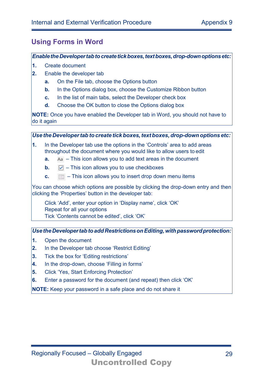## **Using Forms in Word**

*EnabletheDevelopertabtocreatetickboxes,textboxes,drop-downoptionsetc:*

- **1.** Create document
- **2.** Enable the developer tab
	- **a.** On the File tab, choose the Options button
	- **b.** In the Options dialog box, choose the Customize Ribbon button
	- **c.** In the list of main tabs, select the Developer check box
	- **d.** Choose the OK button to close the Options dialog box

**NOTE:** Once you have enabled the Developer tab in Word, you should not have to do it again

*Use the Developertab to create tickboxes,text boxes, drop-down options etc:*

- **1.** In the Developer tab use the options in the 'Controls' area to add areas throughout the document where you would like to allow users to edit
	- **a.** A<sub>n</sub> This icon allows you to add text areas in the document
	- **b.**  $\boxed{\triangledown}$  This icon allows you to use checkboxes
	- **c.**  $\Box$  This icon allows you to insert drop down menu items

You can choose which options are possible by clicking the drop-down entry and then clicking the 'Properties' button in the developer tab:

Click 'Add', enter your option in 'Display name', click 'OK' Repeat for all your options Tick 'Contents cannot be edited', click 'OK'

Use the Developer tab to add Restrictions on Editing, with password protection:

- **1.** Open the document
- **2.** In the Developer tab choose 'Restrict Editing'
- **3.** Tick the box for 'Editing restrictions'
- **4.** In the drop-down, choose 'Filling in forms'
- **5.** Click 'Yes, Start Enforcing Protection'
- **6.** Enter a password for the document (and repeat) then click 'OK'

**NOTE:** Keep your password in a safe place and do not share it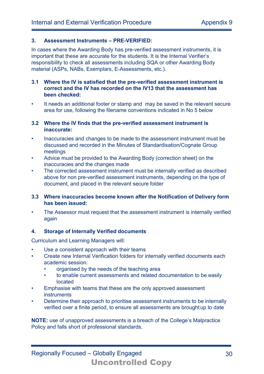#### **3. Assessment Instruments – PRE-VERIFIED:**

In cases where the Awarding Body has pre-verified assessment instruments, it is important that these are accurate for the students. It is the Internal Verifier's responsibility to check all assessments including SQA or other Awarding Body material (ASPs, NABs, Exemplars, E-Assessments, etc.).

#### **3.1 Where the IV is satisfied that the pre-verified assessment instrument is correct and the IV has recorded on the IV13 that the assessment has been checked:**

It needs an additional footer or stamp and may be saved in the relevant secure area for use, following the filename conventions indicated in No 5 below

#### **3.2 Where the IV finds that the pre-verified assessment instrument is inaccurate:**

- Inaccuracies and changes to be made to the assessment instrument must be discussed and recorded in the Minutes of Standardisation/Cognate Group meetings
- Advice must be provided to the Awarding Body (correction sheet) on the inaccuracies and the changes made
- The corrected assessment instrument must be internally verified as described above for non pre-verified assessment instruments, depending on the type of document, and placed in the relevant secure folder

#### **3.3 Where inaccuracies become known after the Notification of Delivery form has been issued:**

• The Assessor must request that the assessment instrument is internally verified again

#### **4. Storage of Internally Verified documents**

Curriculum and Learning Managers will:

- Use a consistent approach with their teams
- Create new Internal Verification folders for internally verified documents each academic session:
	- organised by the needs of the teaching area
	- to enable current assessments and related documentation to be easily located
- Emphasise with teams that these are the only approved assessment **instruments**
- Determine their approach to prioritise assessment instruments to be internally verified over a finite period, to ensure all assessments are brought up to date

**NOTE:** use of unapproved assessments is a breach of the College's Malpractice Policy and falls short of professional standards.